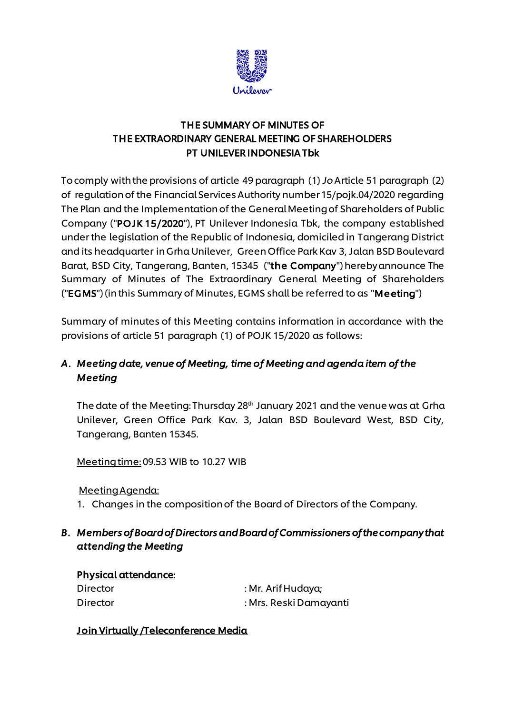

## THE SUMMARY OF MINUTES OF THE EXTRAORDINARY GENERAL MEETING OF SHAREHOLDERS PT UNILEVER INDONESIA Tbk

To comply with the provisions of article 49 paragraph (1) *Jo*Article 51 paragraph (2) of regulation of the Financial Services Authority number 15/pojk.04/2020 regarding The Plan and the Implementation of the General Meeting of Shareholders of Public Company ("POJK 15/2020"), PT Unilever Indonesia Tbk, the company established under the legislation of the Republic of Indonesia, domiciled in Tangerang District and its headquarter in Grha Unilever, Green Office Park Kav 3, Jalan BSD Boulevard Barat, BSD City, Tangerang, Banten, 15345 ("the Company") hereby announce The Summary of Minutes of The Extraordinary General Meeting of Shareholders ("EGMS") (in this Summary of Minutes, EGMS shall be referred to as "Meeting")

Summary of minutes of this Meeting contains information in accordance with the provisions of article 51 paragraph (1) of POJK 15/2020 as follows:

# *A. Meeting date, venue of Meeting, time of Meeting and agenda item of the Meeting*

The date of the Meeting: Thursday 28 th January 2021 and the venue was at Grha Unilever, Green Office Park Kav. 3, Jalan BSD Boulevard West, BSD City, Tangerang, Banten 15345.

Meeting time:09.53 WIB to 10.27 WIB

## Meeting Agenda:

1. Changes in the composition of the Board of Directors of the Company.

## *B. Members of Board of Directors and Board of Commissioners of the company that attending the Meeting*

| <u>Physical attendance:</u> |                        |
|-----------------------------|------------------------|
| Director                    | : Mr. Arif Hudaya;     |
| Director                    | : Mrs. Reski Damayanti |

## Join Virtually /Teleconference Media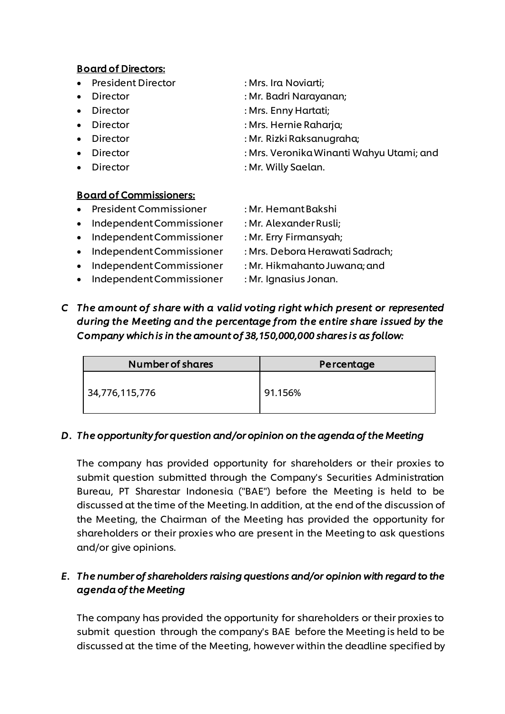#### Board of Directors:

- President Director : Mrs. Ira Noviarti;
- 
- 
- 
- 
- 
- 

### Board of Commissioners:

- President Commissioner : Mr. Hemant Bakshi
- Independent Commissioner : Mr. Alexander Rusli;
- Independent Commissioner : Mr. Erry Firmansyah;
- 
- Independent Commissioner : Mr. Hikmahanto Juwana; and
- Independent Commissioner : Mr. Ignasius Jonan.
- 
- Director : Mr. Badri Narayanan;
- Director : Mrs. Enny Hartati;
- Director : Mrs. Hernie Raharja;
- Director : Mr. Rizki Raksanugraha;
- Director : Mrs. Veronika Winanti Wahyu Utami; and
- Director : Mr. Willy Saelan.
	-
	-
	-
- Independent Commissioner : Mrs. Debora Herawati Sadrach;
	-
	-
- *C The amount of share with a valid voting right which present or represented during the Meeting and the percentage from the entire share issued by the Company which is in the amount of 38,150,000,000 shares is as follow:*

| <b>Number of shares</b> | Percentage |  |  |
|-------------------------|------------|--|--|
| 34,776,115,776          | 91.156%    |  |  |

## *D. The opportunity for question and/or opinion on the agenda of the Meeting*

The company has provided opportunity for shareholders or their proxies to submit question submitted through the Company's Securities Administration Bureau, PT Sharestar Indonesia ("BAE") before the Meeting is held to be discussed at the time of the Meeting. In addition, at the end of the discussion of the Meeting, the Chairman of the Meeting has provided the opportunity for shareholders or their proxies who are present in the Meeting to ask questions and/or give opinions.

# *E. The number of shareholders raising questions and/or opinion with regard to the agenda of the Meeting*

The company has provided the opportunity for shareholders or their proxies to submit question through the company's BAE before the Meeting is held to be discussed at the time of the Meeting, however within the deadline specified by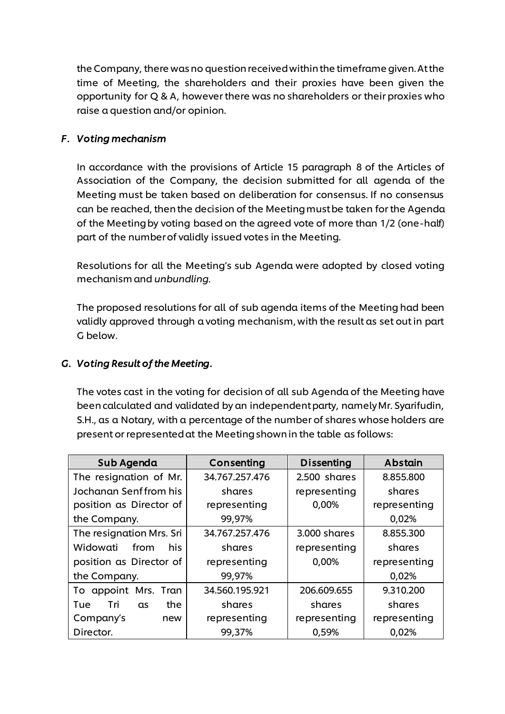the Company, there was no question received within the timeframe given. At the time of Meeting, the shareholders and their proxies have been given the opportunity for Q & A, however there was no shareholders or their proxies who raise a question and/or opinion.

### *F. Voting mechanism*

In accordance with the provisions of Article 15 paragraph 8 of the Articles of Association of the Company, the decision submitted for all agenda of the Meeting must be taken based on deliberation for consensus. If no consensus can be reached, then the decision of the Meeting must be taken for the Agenda of the Meeting by voting based on the agreed vote of more than 1/2 (one-half) part of the number of validly issued votes in the Meeting.

Resolutions for all the Meeting's sub Agenda were adopted by closed voting mechanism and *unbundling.*

The proposed resolutions for all of sub agenda items of the Meeting had been validly approved through a voting mechanism, with the result as set out in part G below.

### *G. Voting Result of the Meeting.*

The votes cast in the voting for decision of all sub Agenda of the Meeting have been calculated and validated by an independent party, namely Mr. Syarifudin, S.H., as a Notary, with a percentage of the number of shares whose holders are present or represented at the Meeting shown in the table as follows:

| Sub Agenda               | Consenting     | <b>Dissenting</b> | Abstain      |
|--------------------------|----------------|-------------------|--------------|
| The resignation of Mr.   | 34.767.257.476 | 2.500 shares      | 8.855.800    |
| Jochanan Senffrom his    | shares         | representing      | shares       |
| position as Director of  | representing   | 0,00%             | representing |
| the Company.             | 99,97%         |                   | 0,02%        |
| The resignation Mrs. Sri | 34.767.257.476 | 3.000 shares      | 8.855.300    |
| Widowati<br>from<br>his  | shares         | representing      | shares       |
| position as Director of  | representing   | 0,00%             | representing |
| the Company.             | 99,97%         |                   | 0,02%        |
| To appoint Mrs. Tran     | 34.560.195.921 | 206.609.655       | 9.310.200    |
| the<br>Tue<br>Tri<br>as  | shares         | shares            | shares       |
| Company's<br>new         | representing   | representing      | representing |
| Director.                | 99,37%         | 0,59%             | 0,02%        |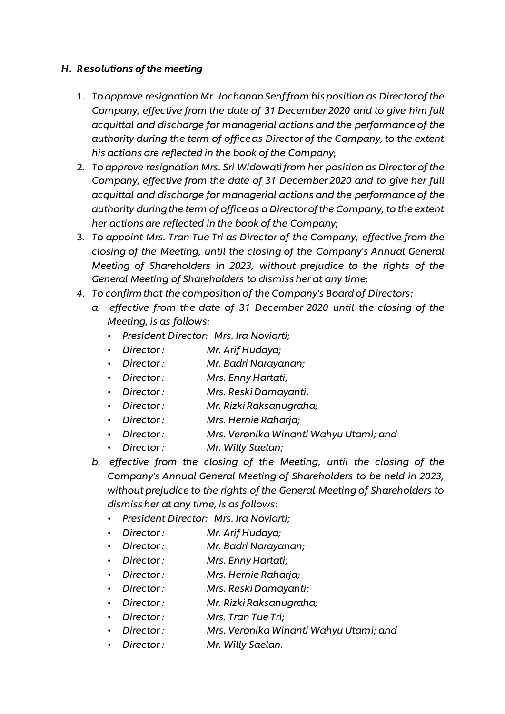### *H. Resolutions of the meeting*

- 1. *To approve resignation Mr. Jochanan Senffrom his position as Director of the Company, effective from the date of 31 December 2020 and to give him full acquittal and discharge for managerial actions and the performance of the authority during the term of office as Director of the Company, to the extent his actions are reflected in the book of the Company*;
- 2. *To approve resignation Mrs. Sri Widowatifrom her position as Director of the Company, effective from the date of 31 December 2020 and to give her full acquittal and discharge for managerial actions and the performance of the authority during the term of office as a Director of the Company, to the extent her actions are reflected in the book of the Company*;
- 3. *To appoint Mrs. Tran Tue Tri as Director of the Company, effective from the closing of the Meeting, until the closing of the Company's Annual General Meeting of Shareholders in 2023, without prejudice to the rights of the General Meeting of Shareholders to dismissher at any time*;
- *4. To confirm that the composition of the Company's Board of Directors:*
	- *a. effective from the date of 31 December 2020 until the closing of the Meeting, is as follows:*
		- *• President Director: Mrs. Ira Noviarti;*
		- *• Director : Mr. Arif Hudaya;*
		- *• Director : Mr. Badri Narayanan;*
		- *Director : Mrs. Enny Hartati;*
		- *• Director : Mrs. Reski Damayanti.*
		- *• Director : Mr. Rizki Raksanugraha;*
		- *• Director : Mrs. Hernie Raharja;*
		- *• Director : Mrs. Veronika Winanti Wahyu Utami; and*
		- *Director : Mr. Willy Saelan;*
	- *b. effective from the closing of the Meeting, until the closing of the Company's Annual General Meeting of Shareholders to be held in 2023, without prejudice to the rights of the General Meeting of Shareholders to dismissher at any time, is as follows:*
		- *• President Director: Mrs. Ira Noviarti;*
		- *• Director : Mr. Arif Hudaya;*
		- *• Director : Mr. Badri Narayanan;*
		- *Director : Mrs. Enny Hartati;*
		- *• Director : Mrs. Hernie Raharja;*
		- *• Director : Mrs. Reski Damayanti;*
		- *• Director : Mr. Rizki Raksanugraha;*
		- *• Director : Mrs. Tran Tue Tri;*
		- *• Director : Mrs. Veronika Winanti Wahyu Utami; and*
		- *• Director : Mr. Willy Saelan.*